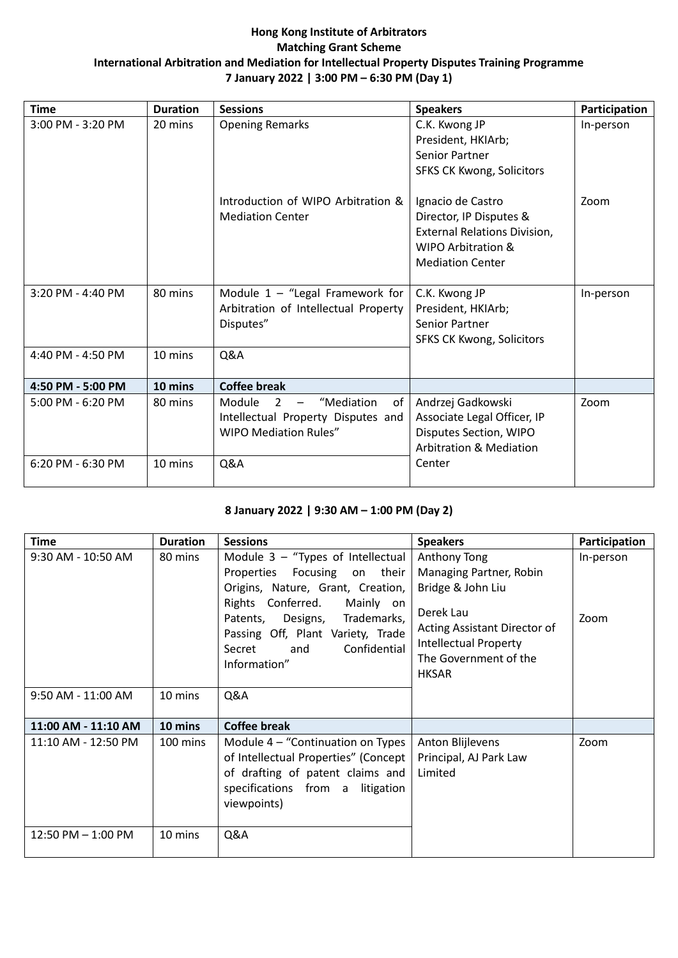### **Hong Kong Institute of Arbitrators Matching Grant Scheme International Arbitration and Mediation for Intellectual Property Disputes Training Programme 7 January 2022 | 3:00 PM – 6:30 PM (Day 1)**

| <b>Time</b>           | <b>Duration</b> | <b>Sessions</b>                                                                                                    | <b>Speakers</b>                                                                                                               | Participation |
|-----------------------|-----------------|--------------------------------------------------------------------------------------------------------------------|-------------------------------------------------------------------------------------------------------------------------------|---------------|
| 3:00 PM - 3:20 PM     | 20 mins         | <b>Opening Remarks</b>                                                                                             | C.K. Kwong JP<br>President, HKIArb;<br><b>Senior Partner</b><br><b>SFKS CK Kwong, Solicitors</b>                              | In-person     |
|                       |                 | Introduction of WIPO Arbitration &<br><b>Mediation Center</b>                                                      | Ignacio de Castro<br>Director, IP Disputes &<br>External Relations Division,<br>WIPO Arbitration &<br><b>Mediation Center</b> | Zoom          |
| $3:20$ PM - $4:40$ PM | 80 mins         | Module $1 -$ "Legal Framework for<br>Arbitration of Intellectual Property<br>Disputes"                             | C.K. Kwong JP<br>President, HKIArb;<br>Senior Partner<br><b>SFKS CK Kwong, Solicitors</b>                                     | In-person     |
| 4:40 PM - 4:50 PM     | 10 mins         | Q&A                                                                                                                |                                                                                                                               |               |
| 4:50 PM - 5:00 PM     | 10 mins         | <b>Coffee break</b>                                                                                                |                                                                                                                               |               |
| 5:00 PM - 6:20 PM     | 80 mins         | Module<br>$\overline{2}$<br>"Mediation<br>of<br>Intellectual Property Disputes and<br><b>WIPO Mediation Rules"</b> | Andrzej Gadkowski<br>Associate Legal Officer, IP<br>Disputes Section, WIPO<br><b>Arbitration &amp; Mediation</b>              | Zoom          |
| 6:20 PM - 6:30 PM     | 10 mins         | Q&A                                                                                                                | Center                                                                                                                        |               |

# **8 January 2022 | 9:30 AM – 1:00 PM (Day 2)**

| <b>Time</b>         | <b>Duration</b> | <b>Sessions</b>                                                                                                                                                                                                                                                 | <b>Speakers</b>                                                                                                                                                                    | Participation     |
|---------------------|-----------------|-----------------------------------------------------------------------------------------------------------------------------------------------------------------------------------------------------------------------------------------------------------------|------------------------------------------------------------------------------------------------------------------------------------------------------------------------------------|-------------------|
| 9:30 AM - 10:50 AM  | 80 mins         | Module 3 - "Types of Intellectual<br>Properties Focusing on their<br>Origins, Nature, Grant, Creation,<br>Rights Conferred.<br>Mainly on<br>Patents, Designs, Trademarks,<br>Passing Off, Plant Variety, Trade<br>Confidential<br>and<br>Secret<br>Information" | Anthony Tong<br>Managing Partner, Robin<br>Bridge & John Liu<br>Derek Lau<br>Acting Assistant Director of<br><b>Intellectual Property</b><br>The Government of the<br><b>HKSAR</b> | In-person<br>Zoom |
| 9:50 AM - 11:00 AM  | 10 mins         | Q&A                                                                                                                                                                                                                                                             |                                                                                                                                                                                    |                   |
| 11:00 AM - 11:10 AM | 10 mins         | <b>Coffee break</b>                                                                                                                                                                                                                                             |                                                                                                                                                                                    |                   |
| 11:10 AM - 12:50 PM | 100 mins        | Module 4 – "Continuation on Types<br>of Intellectual Properties" (Concept<br>of drafting of patent claims and<br>specifications from a litigation<br>viewpoints)                                                                                                | Anton Blijlevens<br>Principal, AJ Park Law<br>Limited                                                                                                                              | Zoom              |
| 12:50 PM - 1:00 PM  | 10 mins         | Q&A                                                                                                                                                                                                                                                             |                                                                                                                                                                                    |                   |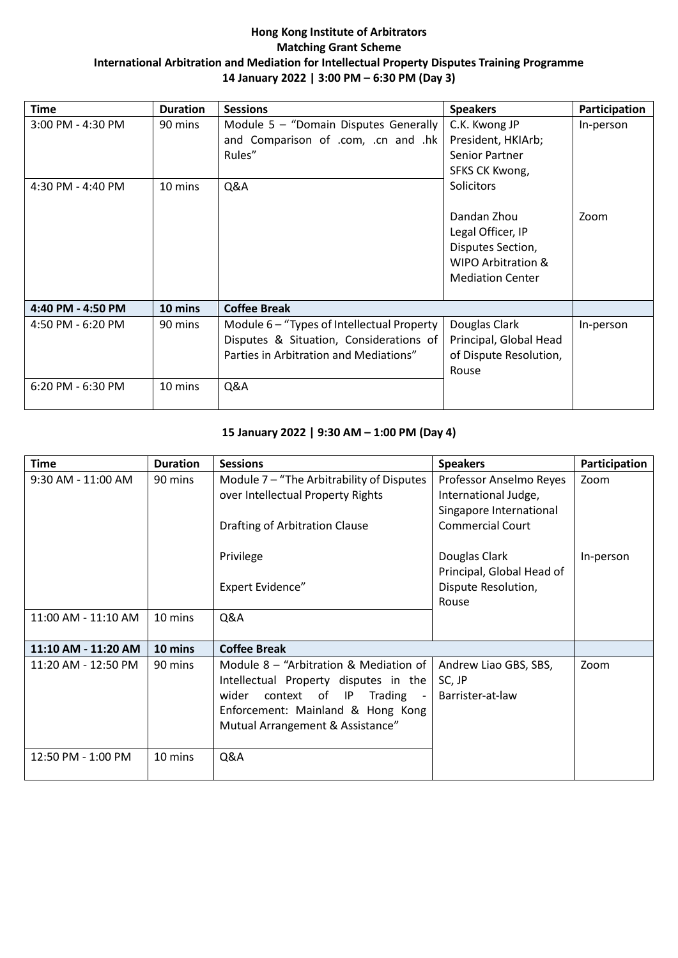### **Hong Kong Institute of Arbitrators Matching Grant Scheme International Arbitration and Mediation for Intellectual Property Disputes Training Programme 14 January 2022 | 3:00 PM – 6:30 PM (Day 3)**

| Time                                   | <b>Duration</b>    | <b>Sessions</b>                                                                                                                          | <b>Speakers</b>                                                                                                      | Participation |
|----------------------------------------|--------------------|------------------------------------------------------------------------------------------------------------------------------------------|----------------------------------------------------------------------------------------------------------------------|---------------|
| 3:00 PM - 4:30 PM                      | 90 mins            | Module $5 -$ "Domain Disputes Generally<br>and Comparison of .com, .cn and .hk<br>Rules"                                                 | C.K. Kwong JP<br>President, HKIArb;<br><b>Senior Partner</b><br>SFKS CK Kwong,                                       | In-person     |
| 4:30 PM - 4:40 PM                      | 10 mins            | Q&A                                                                                                                                      | Solicitors<br>Dandan Zhou<br>Legal Officer, IP<br>Disputes Section,<br>WIPO Arbitration &<br><b>Mediation Center</b> | Zoom          |
| 4:40 PM - 4:50 PM                      | 10 mins            | <b>Coffee Break</b>                                                                                                                      |                                                                                                                      |               |
| 4:50 PM - 6:20 PM<br>6:20 PM - 6:30 PM | 90 mins<br>10 mins | Module $6 -$ "Types of Intellectual Property<br>Disputes & Situation, Considerations of<br>Parties in Arbitration and Mediations"<br>Q&A | Douglas Clark<br>Principal, Global Head<br>of Dispute Resolution,<br>Rouse                                           | In-person     |
|                                        |                    |                                                                                                                                          |                                                                                                                      |               |

#### **15 January 2022 | 9:30 AM – 1:00 PM (Day 4)**

| <b>Time</b>         | <b>Duration</b> | <b>Sessions</b>                                                                                                                                                                                 | <b>Speakers</b>                                                            | Participation |
|---------------------|-----------------|-------------------------------------------------------------------------------------------------------------------------------------------------------------------------------------------------|----------------------------------------------------------------------------|---------------|
| 9:30 AM - 11:00 AM  | 90 mins         | Module $7-$ "The Arbitrability of Disputes<br>over Intellectual Property Rights                                                                                                                 | Professor Anselmo Reyes<br>International Judge,<br>Singapore International | Zoom          |
|                     |                 | Drafting of Arbitration Clause<br>Privilege                                                                                                                                                     | <b>Commercial Court</b><br>Douglas Clark                                   | In-person     |
|                     |                 | <b>Expert Evidence"</b>                                                                                                                                                                         | Principal, Global Head of<br>Dispute Resolution,<br>Rouse                  |               |
| 11:00 AM - 11:10 AM | 10 mins         | Q&A                                                                                                                                                                                             |                                                                            |               |
| 11:10 AM - 11:20 AM | 10 mins         | <b>Coffee Break</b>                                                                                                                                                                             |                                                                            |               |
| 11:20 AM - 12:50 PM | 90 mins         | Module $8 -$ "Arbitration & Mediation of<br>Intellectual Property disputes in the<br>context of IP<br>wider<br>Trading<br>Enforcement: Mainland & Hong Kong<br>Mutual Arrangement & Assistance" | Andrew Liao GBS, SBS,<br>SC, JP<br>Barrister-at-law                        | Zoom          |
| 12:50 PM - 1:00 PM  | 10 mins         | Q&A                                                                                                                                                                                             |                                                                            |               |